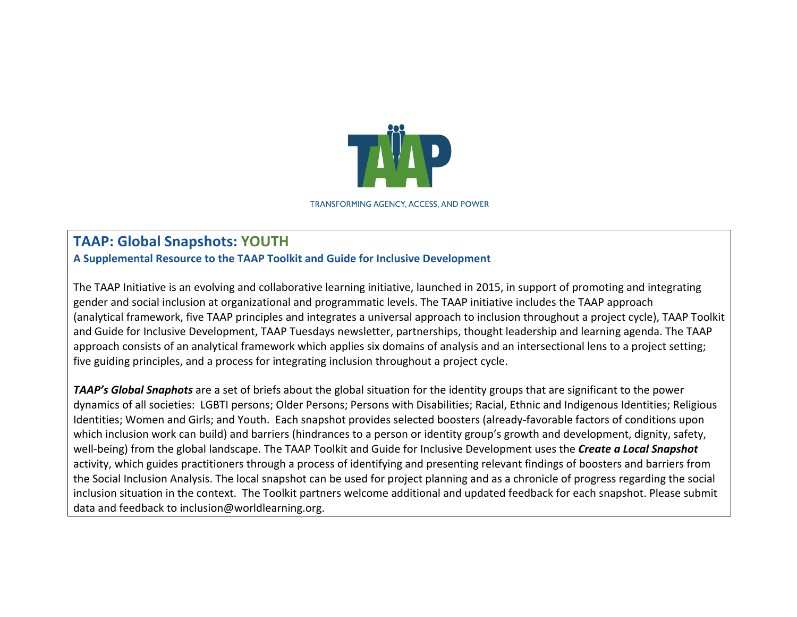

**TRANSFORMING AGENCY, ACCESS, AND POWER** 

## **TAAP: Global Snapshots: YOUTH**

**A Supplemental Resource to the TAAP Toolkit and Guide for Inclusive Development**

The TAAP Initiative is an evolving and collaborative learning initiative, launched in 2015, in support of promoting and integrating gender and social inclusion at organizational and programmatic levels. The TAAP initiative includes the TAAP approach (analytical framework, five TAAP principles and integrates a universal approach to inclusion throughout a project cycle), TAAP Toolkit and Guide for Inclusive Development, TAAP Tuesdays newsletter, partnerships, thought leadership and learning agenda. The TAAP approach consists of an analytical framework which applies six domains of analysis and an intersectional lens to a project setting; five guiding principles, and a process for integrating inclusion throughout a project cycle.

**TAAP's Global Snaphots** are a set of briefs about the global situation for the identity groups that are significant to the power dynamics of all societies: LGBTI persons; Older Persons; Persons with Disabilities; Racial, Ethnic and Indigenous Identities; Religious Identities; Women and Girls; and Youth. Each snapshot provides selected boosters (already-favorable factors of conditions upon which inclusion work can build) and barriers (hindrances to a person or identity group's growth and development, dignity, safety, well-being) from the global landscape. The TAAP Toolkit and Guide for Inclusive Development uses the **Create a Local Snapshot** activity, which guides practitioners through a process of identifying and presenting relevant findings of boosters and barriers from the Social Inclusion Analysis. The local snapshot can be used for project planning and as a chronicle of progress regarding the social inclusion situation in the context. The Toolkit partners welcome additional and updated feedback for each snapshot. Please submit data and feedback to inclusion@worldlearning.org.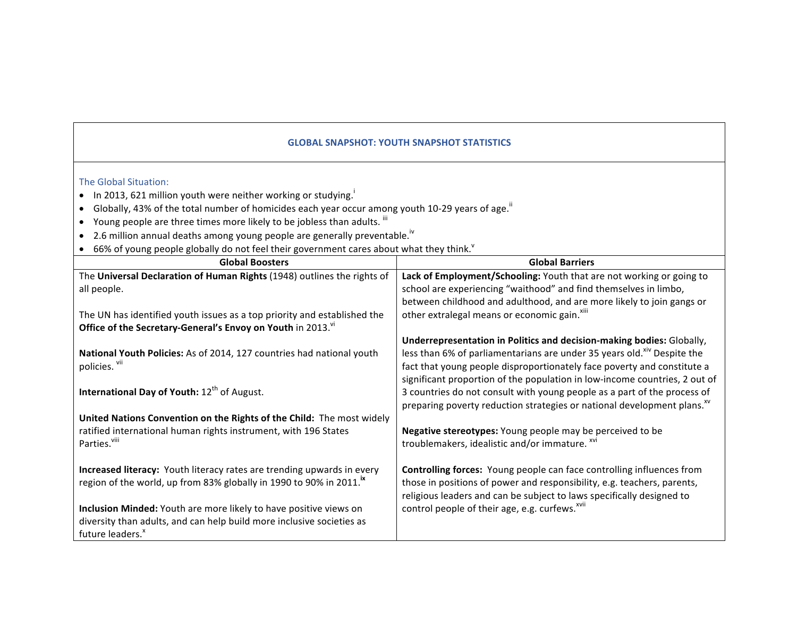## **GLOBAL SNAPSHOT: YOUTH SNAPSHOT STATISTICS**

## The Global Situation:

- In 2013, 621 million youth were neither working or studying.
- Globally, 43% of the total number of homicides each year occur among youth 10-29 years of age.<sup>ii</sup>
- Young people are three times more likely to be jobless than adults.  $^{\text{iii}}$
- 2.6 million annual deaths among young people are generally preventable.<sup>iv</sup>
- 66% of young people globally do not feel their government cares about what they think.<sup>Y</sup>

| <b>Global Boosters</b>                                                          | <b>Global Barriers</b>                                                              |
|---------------------------------------------------------------------------------|-------------------------------------------------------------------------------------|
| The Universal Declaration of Human Rights (1948) outlines the rights of         | Lack of Employment/Schooling: Youth that are not working or going to                |
| all people.                                                                     | school are experiencing "waithood" and find themselves in limbo,                    |
|                                                                                 | between childhood and adulthood, and are more likely to join gangs or               |
| The UN has identified youth issues as a top priority and established the        | other extralegal means or economic gain. <sup>xiii</sup>                            |
| Office of the Secretary-General's Envoy on Youth in 2013.                       |                                                                                     |
|                                                                                 | Underrepresentation in Politics and decision-making bodies: Globally,               |
| National Youth Policies: As of 2014, 127 countries had national youth           | less than 6% of parliamentarians are under 35 years old. <sup>xiv</sup> Despite the |
| policies. vii                                                                   | fact that young people disproportionately face poverty and constitute a             |
|                                                                                 | significant proportion of the population in low-income countries, 2 out of          |
| International Day of Youth: 12th of August.                                     | 3 countries do not consult with young people as a part of the process of            |
|                                                                                 | preparing poverty reduction strategies or national development plans. <sup>xv</sup> |
| United Nations Convention on the Rights of the Child: The most widely           |                                                                                     |
| ratified international human rights instrument, with 196 States                 | Negative stereotypes: Young people may be perceived to be                           |
| Parties. <sup>viii</sup>                                                        | troublemakers, idealistic and/or immature. xvi                                      |
|                                                                                 |                                                                                     |
| Increased literacy: Youth literacy rates are trending upwards in every          | Controlling forces: Young people can face controlling influences from               |
| region of the world, up from 83% globally in 1990 to 90% in 2011. <sup>18</sup> | those in positions of power and responsibility, e.g. teachers, parents,             |
|                                                                                 | religious leaders and can be subject to laws specifically designed to               |
| Inclusion Minded: Youth are more likely to have positive views on               | control people of their age, e.g. curfews. <sup>xvii</sup>                          |
| diversity than adults, and can help build more inclusive societies as           |                                                                                     |
| future leaders. <sup>x</sup>                                                    |                                                                                     |